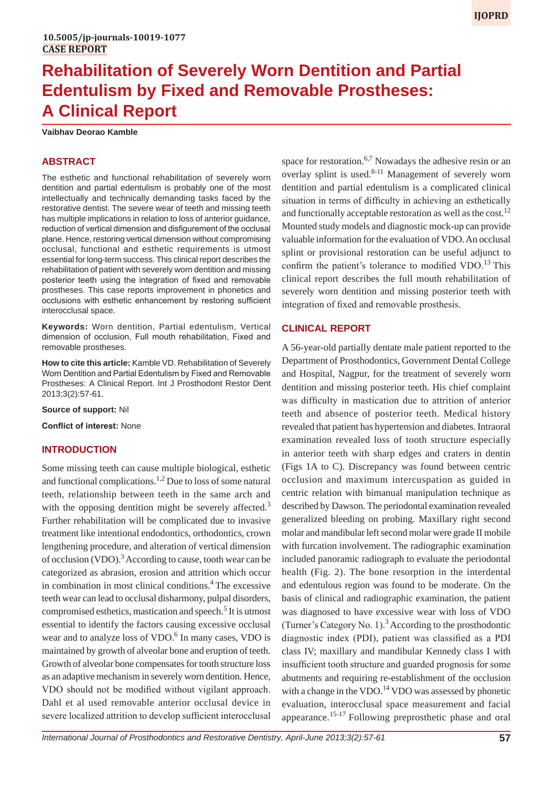# **Rehabilitation of Severely Worn Dentition and Partial Edentulism by Fixed and Removable Prostheses: A Clinical Report**

#### **Vaibhav Deorao Kamble**

# **ABSTRACT**

The esthetic and functional rehabilitation of severely worn dentition and partial edentulism is probably one of the most intellectually and technically demanding tasks faced by the restorative dentist. The severe wear of teeth and missing teeth has multiple implications in relation to loss of anterior guidance, reduction of vertical dimension and disfigurement of the occlusal plane. Hence, restoring vertical dimension without compromising occlusal, functional and esthetic requirements is utmost essential for long-term success. This clinical report describes the rehabilitation of patient with severely worn dentition and missing posterior teeth using the integration of fixed and removable prostheses. This case reports improvement in phonetics and occlusions with esthetic enhancement by restoring sufficient interocclusal space.

**Keywords:** Worn dentition, Partial edentulism, Vertical dimension of occlusion, Full mouth rehabilitation, Fixed and removable prostheses.

**How to cite this article:** Kamble VD. Rehabilitation of Severely Worn Dentition and Partial Edentulism by Fixed and Removable Prostheses: A Clinical Report. Int J Prosthodont Restor Dent 2013;3(2):57-61.

**Source of support:** Nil

**Conflict of interest:** None

# **INTRODUCTION**

Some missing teeth can cause multiple biological, esthetic and functional complications.<sup>1,2</sup> Due to loss of some natural teeth, relationship between teeth in the same arch and with the opposing dentition might be severely affected.<sup>3</sup> Further rehabilitation will be complicated due to invasive treatment like intentional endodontics, orthodontics, crown lengthening procedure, and alteration of vertical dimension of occlusion (VDO).<sup>3</sup> According to cause, tooth wear can be categorized as abrasion, erosion and attrition which occur in combination in most clinical conditions.<sup>4</sup> The excessive teeth wear can lead to occlusal disharmony, pulpal disorders, compromised esthetics, mastication and speech.<sup>5</sup> It is utmost essential to identify the factors causing excessive occlusal wear and to analyze loss of VDO.<sup>6</sup> In many cases, VDO is maintained by growth of alveolar bone and eruption of teeth. Growth of alveolar bone compensates for tooth structure loss as an adaptive mechanism in severely worn dentition. Hence, VDO should not be modified without vigilant approach. Dahl et al used removable anterior occlusal device in severe localized attrition to develop sufficient interocclusal

space for restoration.<sup>6,7</sup> Nowadays the adhesive resin or an overlay splint is used. $8-11$  Management of severely worn dentition and partial edentulism is a complicated clinical situation in terms of difficulty in achieving an esthetically and functionally acceptable restoration as well as the cost.<sup>12</sup> Mounted study models and diagnostic mock-up can provide valuable information for the evaluation of VDO. An occlusal splint or provisional restoration can be useful adjunct to confirm the patient's tolerance to modified  $VDO$ .<sup>13</sup> This clinical report describes the full mouth rehabilitation of severely worn dentition and missing posterior teeth with integration of fixed and removable prosthesis.

### **CLINICAL REPORT**

A 56-year-old partially dentate male patient reported to the Department of Prosthodontics, Government Dental College and Hospital, Nagpur, for the treatment of severely worn dentition and missing posterior teeth. His chief complaint was difficulty in mastication due to attrition of anterior teeth and absence of posterior teeth. Medical history revealed that patient has hypertension and diabetes. Intraoral examination revealed loss of tooth structure especially in anterior teeth with sharp edges and craters in dentin (Figs 1A to C). Discrepancy was found between centric occlusion and maximum intercuspation as guided in centric relation with bimanual manipulation technique as described by Dawson. The periodontal examination revealed generalized bleeding on probing. Maxillary right second molar and mandibular left second molar were grade II mobile with furcation involvement. The radiographic examination included panoramic radiograph to evaluate the periodontal health (Fig. 2). The bone resorption in the interdental and edentulous region was found to be moderate. On the basis of clinical and radiographic examination, the patient was diagnosed to have excessive wear with loss of VDO (Turner's Category No. 1).<sup>3</sup> According to the prosthodontic diagnostic index (PDI), patient was classified as a PDI class IV; maxillary and mandibular Kennedy class I with insufficient tooth structure and guarded prognosis for some abutments and requiring re-establishment of the occlusion with a change in the VDO.<sup>14</sup> VDO was assessed by phonetic evaluation, interocclusal space measurement and facial appearance.<sup>15-17</sup> Following preprosthetic phase and oral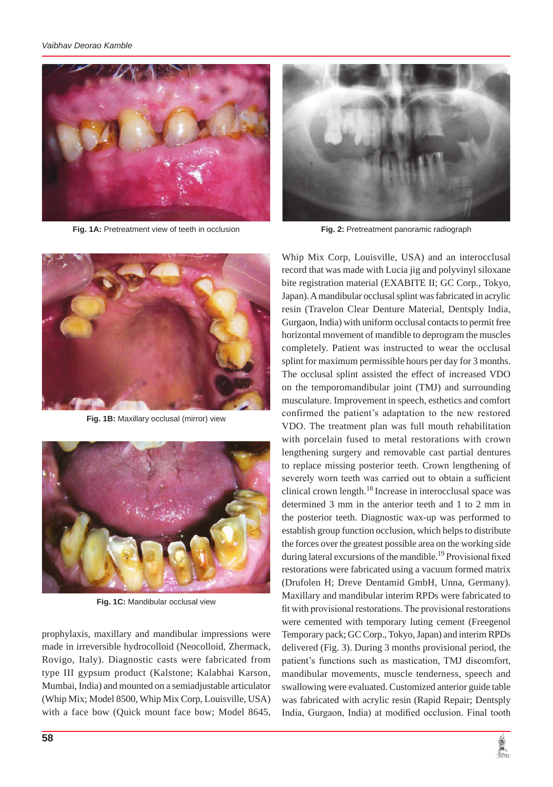

**Fig. 1A:** Pretreatment view of teeth in occlusion



**Fig. 2:** Pretreatment panoramic radiograph

Whip Mix Corp, Louisville, USA) and an interocclusal



**Fig. 1B:** Maxillary occlusal (mirror) view



**Fig. 1C:** Mandibular occlusal view

prophylaxis, maxillary and mandibular impressions were made in irreversible hydrocolloid (Neocolloid, Zhermack, Rovigo, Italy). Diagnostic casts were fabricated from type III gypsum product (Kalstone; Kalabhai Karson, Mumbai, India) and mounted on a semiadjustable articulator (Whip Mix; Model 8500, Whip Mix Corp, Louisville, USA) with a face bow (Quick mount face bow; Model 8645,

record that was made with Lucia jig and polyvinyl siloxane bite registration material (EXABITE II; GC Corp., Tokyo, Japan). A mandibular occlusal splint was fabricated in acrylic resin (Travelon Clear Denture Material, Dentsply India, Gurgaon, India) with uniform occlusal contacts to permit free horizontal movement of mandible to deprogram the muscles completely. Patient was instructed to wear the occlusal splint for maximum permissible hours per day for 3 months. The occlusal splint assisted the effect of increased VDO on the temporomandibular joint (TMJ) and surrounding musculature. Improvement in speech, esthetics and comfort confirmed the patient's adaptation to the new restored VDO. The treatment plan was full mouth rehabilitation with porcelain fused to metal restorations with crown lengthening surgery and removable cast partial dentures to replace missing posterior teeth. Crown lengthening of severely worn teeth was carried out to obtain a sufficient clinical crown length.<sup>18</sup> Increase in interocclusal space was determined 3 mm in the anterior teeth and 1 to 2 mm in the posterior teeth. Diagnostic wax-up was performed to establish group function occlusion, which helps to distribute the forces over the greatest possible area on the working side during lateral excursions of the mandible.<sup>19</sup> Provisional fixed restorations were fabricated using a vacuum formed matrix (Drufolen H; Dreve Dentamid GmbH, Unna, Germany). Maxillary and mandibular interim RPDs were fabricated to fit with provisional restorations. The provisional restorations were cemented with temporary luting cement (Freegenol Temporary pack; GC Corp., Tokyo, Japan) and interim RPDs delivered (Fig. 3). During 3 months provisional period, the patient's functions such as mastication, TMJ discomfort, mandibular movements, muscle tenderness, speech and swallowing were evaluated. Customized anterior guide table was fabricated with acrylic resin (Rapid Repair; Dentsply India, Gurgaon, India) at modified occlusion. Final tooth

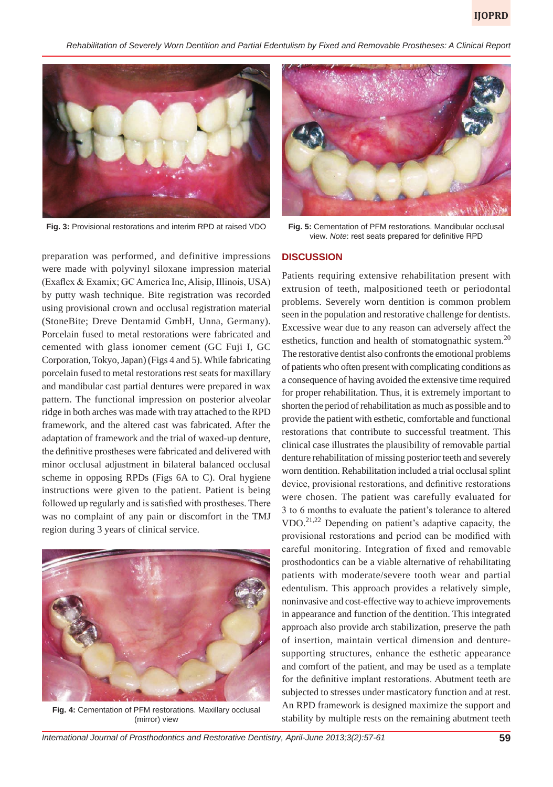*Rehabilitation of Severely Worn Dentition and Partial Edentulism by Fixed and Removable Prostheses: A Clinical Report*



**Fig. 3:** Provisional restorations and interim RPD at raised VDO

preparation was performed, and definitive impressions were made with polyvinyl siloxane impression material (Exaflex & Examix; GC America Inc, Alisip, Illinois, USA) by putty wash technique. Bite registration was recorded using provisional crown and occlusal registration material (StoneBite; Dreve Dentamid GmbH, Unna, Germany). Porcelain fused to metal restorations were fabricated and cemented with glass ionomer cement (GC Fuji I, GC Corporation, Tokyo, Japan) (Figs 4 and 5). While fabricating porcelain fused to metal restorations rest seats for maxillary and mandibular cast partial dentures were prepared in wax pattern. The functional impression on posterior alveolar ridge in both arches was made with tray attached to the RPD framework, and the altered cast was fabricated. After the adaptation of framework and the trial of waxed-up denture, the definitive prostheses were fabricated and delivered with minor occlusal adjustment in bilateral balanced occlusal scheme in opposing RPDs (Figs 6A to C). Oral hygiene instructions were given to the patient. Patient is being followed up regularly and is satisfied with prostheses. There was no complaint of any pain or discomfort in the TMJ region during 3 years of clinical service.



**Fig. 4:** Cementation of PFM restorations. Maxillary occlusal (mirror) view



**Fig. 5:** Cementation of PFM restorations. Mandibular occlusal view. *Note*: rest seats prepared for definitive RPD

#### **DISCUSSION**

Patients requiring extensive rehabilitation present with extrusion of teeth, malpositioned teeth or periodontal problems. Severely worn dentition is common problem seen in the population and restorative challenge for dentists. Excessive wear due to any reason can adversely affect the esthetics, function and health of stomatognathic system.<sup>20</sup> The restorative dentist also confronts the emotional problems of patients who often present with complicating conditions as a consequence of having avoided the extensive time required for proper rehabilitation. Thus, it is extremely important to shorten the period of rehabilitation as much as possible and to provide the patient with esthetic, comfortable and functional restorations that contribute to successful treatment. This clinical case illustrates the plausibility of removable partial denture rehabilitation of missing posterior teeth and severely worn dentition. Rehabilitation included a trial occlusal splint device, provisional restorations, and definitive restorations were chosen. The patient was carefully evaluated for 3 to 6 months to evaluate the patient's tolerance to altered VDO.<sup>21,22</sup> Depending on patient's adaptive capacity, the provisional restorations and period can be modified with careful monitoring. Integration of fixed and removable prosthodontics can be a viable alternative of rehabilitating patients with moderate/severe tooth wear and partial edentulism. This approach provides a relatively simple, noninvasive and cost-effective way to achieve improvements in appearance and function of the dentition. This integrated approach also provide arch stabilization, preserve the path of insertion, maintain vertical dimension and denturesupporting structures, enhance the esthetic appearance and comfort of the patient, and may be used as a template for the definitive implant restorations. Abutment teeth are subjected to stresses under masticatory function and at rest. An RPD framework is designed maximize the support and stability by multiple rests on the remaining abutment teeth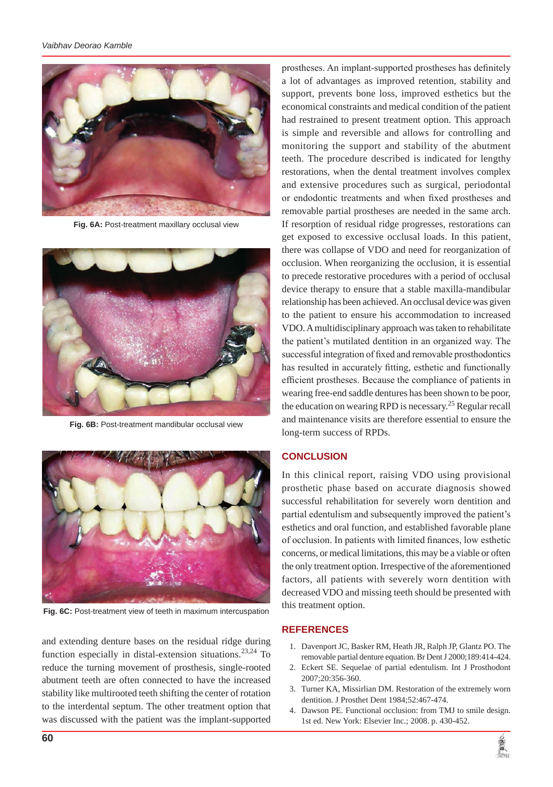

**Fig. 6A:** Post-treatment maxillary occlusal view



**Fig. 6B:** Post-treatment mandibular occlusal view



**Fig. 6C:** Post-treatment view of teeth in maximum intercuspation

and extending denture bases on the residual ridge during function especially in distal-extension situations.<sup>23,24</sup> To reduce the turning movement of prosthesis, single-rooted abutment teeth are often connected to have the increased stability like multirooted teeth shifting the center of rotation to the interdental septum. The other treatment option that was discussed with the patient was the implant-supported prostheses. An implant-supported prostheses has definitely a lot of advantages as improved retention, stability and support, prevents bone loss, improved esthetics but the economical constraints and medical condition of the patient had restrained to present treatment option. This approach is simple and reversible and allows for controlling and monitoring the support and stability of the abutment teeth. The procedure described is indicated for lengthy restorations, when the dental treatment involves complex and extensive procedures such as surgical, periodontal or endodontic treatments and when fixed prostheses and removable partial prostheses are needed in the same arch. If resorption of residual ridge progresses, restorations can get exposed to excessive occlusal loads. In this patient, there was collapse of VDO and need for reorganization of occlusion. When reorganizing the occlusion, it is essential to precede restorative procedures with a period of occlusal device therapy to ensure that a stable maxilla-mandibular relationship has been achieved. An occlusal device was given to the patient to ensure his accommodation to increased VDO. A multidisciplinary approach was taken to rehabilitate the patient's mutilated dentition in an organized way. The successful integration of fixed and removable prosthodontics has resulted in accurately fitting, esthetic and functionally efficient prostheses. Because the compliance of patients in wearing free-end saddle dentures has been shown to be poor, the education on wearing RPD is necessary.<sup>25</sup> Regular recall and maintenance visits are therefore essential to ensure the long-term success of RPDs.

## **CONCLUSION**

In this clinical report, raising VDO using provisional prosthetic phase based on accurate diagnosis showed successful rehabilitation for severely worn dentition and partial edentulism and subsequently improved the patient's esthetics and oral function, and established favorable plane of occlusion. In patients with limited finances, low esthetic concerns, or medical limitations, this may be a viable or often the only treatment option. Irrespective of the aforementioned factors, all patients with severely worn dentition with decreased VDO and missing teeth should be presented with this treatment option.

#### **REFERENCES**

- 1. Davenport JC, Basker RM, Heath JR, Ralph JP, Glantz PO. The removable partial denture equation. Br Dent J 2000;189:414-424.
- 2. Eckert SE. Sequelae of partial edentulism. Int J Prosthodont 2007;20:356-360.
- 3. Turner KA, Missirlian DM. Restoration of the extremely worn dentition. J Prosthet Dent 1984;52:467-474.
- 4. Dawson PE. Functional occlusion: from TMJ to smile design. 1st ed. New York: Elsevier Inc.; 2008. p. 430-452.